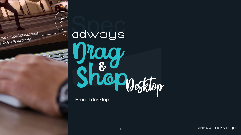

sur l'article fait pour vous

sur l'article lan pour !<br>cglissez le au panier !

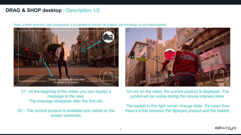## **DRAG & SHOP desktop** • Description 1/2



Note : a timer show the video progression. It is possible to change his location, but the design is not customizabnle

01 - At the begining of the video, you can display a message to the user. The message disappear after the first clic.

02 – The current product is available and visible on the screen (optional).



On clic on the video, the current product is displayed. The produt will be visible during the mouse onpress state.

The basket in the right corner change state. It's mean than there's a link between the diplayed product and the basket.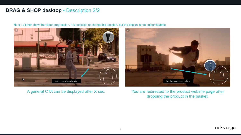## **DRAG & SHOP desktop** • Description 2/2



Note : a timer show the video progression. It is possible to change his location, but the design is not customizabnle

A general CTA can be displayed after X sec.



You are redirected to the product website page after dropping the product in the basket.

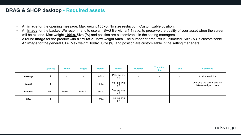## **DRAG & SHOP desktop • Required assets**

- An **image** for the opening message. Max weight **100ko.** No size restriction. Customizable position.
- An **image** for the basket. We recommend to use an .SVG file with a 1:1 ratio, to preserve the quality of your asset when the screen will be expand. Max weight **100ko.** Size (%) and position are customizable in the setting managers.
- A round **image** for the product with a **1:1 ratio.** Maw weight **50ko**. The number of products is unlimeted. Size (%) is customizable.
- An **image** for the general CTA. Max weight **100ko**. Size (%) and position are customizable in the setting managers

|                | <b>Quantity</b> | <b>Width</b>   | <b>Height</b> | Weight | <b>Format</b>         | <b>Duration</b> | <b>Transition</b><br>time | Loop | <b>Comment</b>                                           |
|----------------|-----------------|----------------|---------------|--------|-----------------------|-----------------|---------------------------|------|----------------------------------------------------------|
| message        |                 | -              |               | 100 ko | Png, jpg, gif,<br>svg | $\,$            | $\overline{\phantom{0}}$  |      | No size restriction                                      |
| <b>Basket</b>  |                 | $\blacksquare$ |               | 100ko  | Svg, jpg, png,<br>gif |                 |                           |      | Changing the basket size can<br>deteriorated your visual |
| <b>Product</b> | $N+1$           | Ratio 1:1      | Ratio 1:1     | 50ko   | Png, jpg, svg,<br>gif |                 |                           |      |                                                          |
| <b>CTA</b>     |                 |                |               | 100ko  | Png, jpg, svg,<br>gif |                 |                           |      |                                                          |